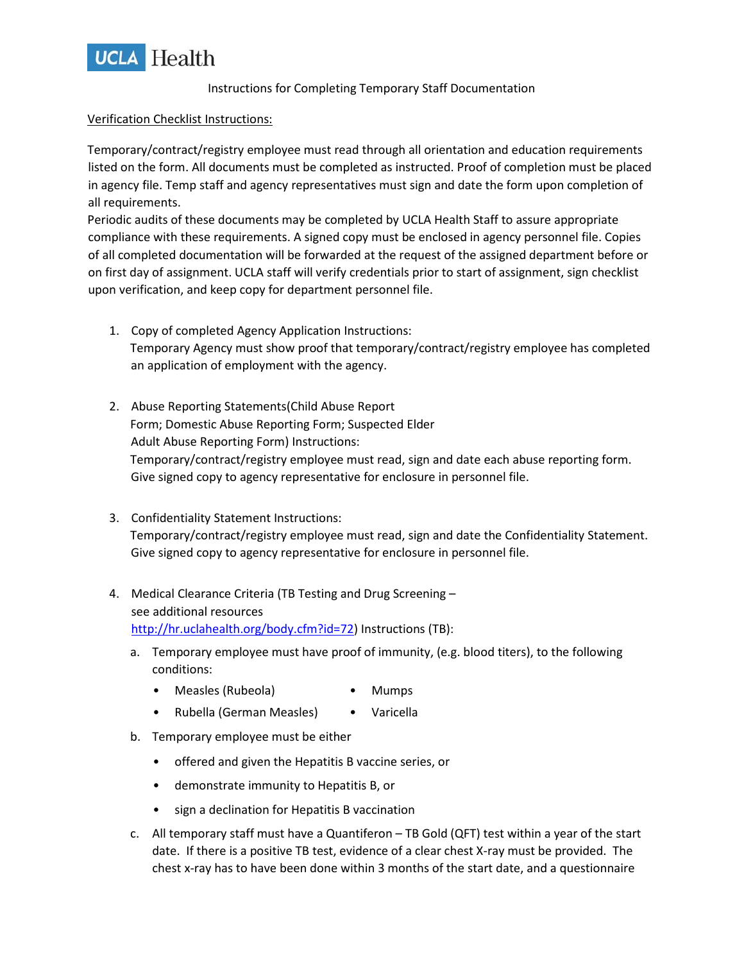

### Instructions for Completing Temporary Staff Documentation

#### Verification Checklist Instructions:

Temporary/contract/registry employee must read through all orientation and education requirements listed on the form. All documents must be completed as instructed. Proof of completion must be placed in agency file. Temp staff and agency representatives must sign and date the form upon completion of all requirements.

Periodic audits of these documents may be completed by UCLA Health Staff to assure appropriate compliance with these requirements. A signed copy must be enclosed in agency personnel file. Copies of all completed documentation will be forwarded at the request of the assigned department before or on first day of assignment. UCLA staff will verify credentials prior to start of assignment, sign checklist upon verification, and keep copy for department personnel file.

- 1. Copy of completed Agency Application Instructions: Temporary Agency must show proof that temporary/contract/registry employee has completed an application of employment with the agency.
- 2. Abuse Reporting Statements(Child Abuse Report Form; Domestic Abuse Reporting Form; Suspected Elder Adult Abuse Reporting Form) Instructions: Temporary/contract/registry employee must read, sign and date each abuse reporting form. Give signed copy to agency representative for enclosure in personnel file.
- 3. Confidentiality Statement Instructions: Temporary/contract/registry employee must read, sign and date the Confidentiality Statement. Give signed copy to agency representative for enclosure in personnel file.
- 4. Medical Clearance Criteria (TB Testing and Drug Screening see additional resources http://hr.uclahealth.org/body.cfm?id=72) Instructions (TB):
	- a. Temporary employee must have proof of immunity, (e.g. blood titers), to the following conditions:
		- Measles (Rubeola) Mumps
		- Rubella (German Measles) Varicella
	- b. Temporary employee must be either
		- offered and given the Hepatitis B vaccine series, or
		- demonstrate immunity to Hepatitis B, or
		- sign a declination for Hepatitis B vaccination
	- c. All temporary staff must have a Quantiferon TB Gold (QFT) test within a year of the start date. If there is a positive TB test, evidence of a clear chest X-ray must be provided. The chest x-ray has to have been done within 3 months of the start date, and a questionnaire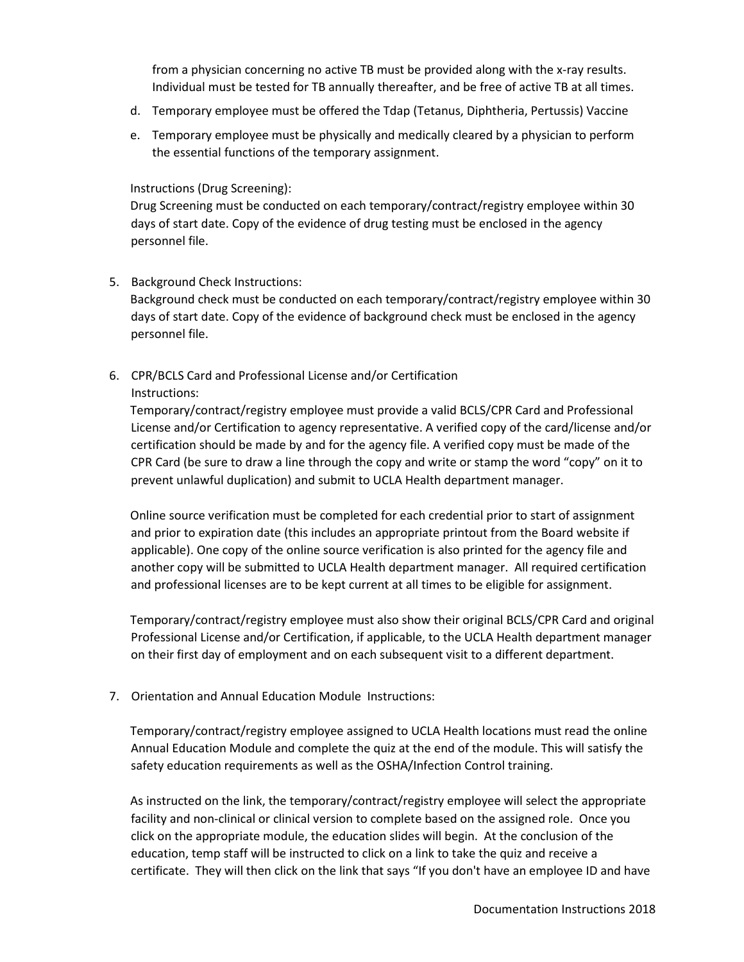from a physician concerning no active TB must be provided along with the x-ray results. Individual must be tested for TB annually thereafter, and be free of active TB at all times.

- d. Temporary employee must be offered the Tdap (Tetanus, Diphtheria, Pertussis) Vaccine
- e. Temporary employee must be physically and medically cleared by a physician to perform the essential functions of the temporary assignment.

## Instructions (Drug Screening):

Drug Screening must be conducted on each temporary/contract/registry employee within 30 days of start date. Copy of the evidence of drug testing must be enclosed in the agency personnel file.

# 5. Background Check Instructions:

Background check must be conducted on each temporary/contract/registry employee within 30 days of start date. Copy of the evidence of background check must be enclosed in the agency personnel file.

# 6. CPR/BCLS Card and Professional License and/or Certification Instructions:

Temporary/contract/registry employee must provide a valid BCLS/CPR Card and Professional License and/or Certification to agency representative. A verified copy of the card/license and/or certification should be made by and for the agency file. A verified copy must be made of the CPR Card (be sure to draw a line through the copy and write or stamp the word "copy" on it to prevent unlawful duplication) and submit to UCLA Health department manager.

Online source verification must be completed for each credential prior to start of assignment and prior to expiration date (this includes an appropriate printout from the Board website if applicable). One copy of the online source verification is also printed for the agency file and another copy will be submitted to UCLA Health department manager. All required certification and professional licenses are to be kept current at all times to be eligible for assignment.

Temporary/contract/registry employee must also show their original BCLS/CPR Card and original Professional License and/or Certification, if applicable, to the UCLA Health department manager on their first day of employment and on each subsequent visit to a different department.

7. Orientation and Annual Education Module Instructions:

Temporary/contract/registry employee assigned to UCLA Health locations must read the online Annual Education Module and complete the quiz at the end of the module. This will satisfy the safety education requirements as well as the OSHA/Infection Control training.

As instructed on the link, the temporary/contract/registry employee will select the appropriate facility and non-clinical or clinical version to complete based on the assigned role. Once you click on the appropriate module, the education slides will begin. At the conclusion of the education, temp staff will be instructed to click on a link to take the quiz and receive a certificate. They will then click on the link that says "If you don't have an employee ID and have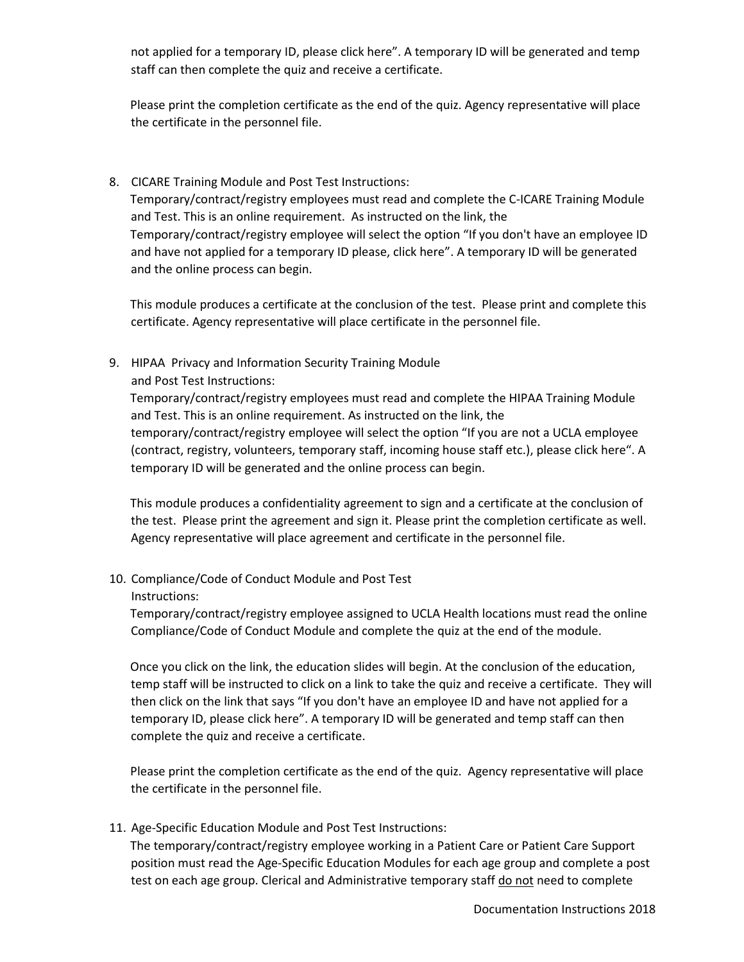not applied for a temporary ID, please click here". A temporary ID will be generated and temp staff can then complete the quiz and receive a certificate.

Please print the completion certificate as the end of the quiz. Agency representative will place the certificate in the personnel file.

8. CICARE Training Module and Post Test Instructions: Temporary/contract/registry employees must read and complete the C-ICARE Training Module and Test. This is an online requirement. As instructed on the link, the Temporary/contract/registry employee will select the option "If you don't have an employee ID and have not applied for a temporary ID please, click here". A temporary ID will be generated and the online process can begin.

This module produces a certificate at the conclusion of the test. Please print and complete this certificate. Agency representative will place certificate in the personnel file.

9. HIPAA Privacy and Information Security Training Module and Post Test Instructions:

Temporary/contract/registry employees must read and complete the HIPAA Training Module and Test. This is an online requirement. As instructed on the link, the temporary/contract/registry employee will select the option "If you are not a UCLA employee (contract, registry, volunteers, temporary staff, incoming house staff etc.), please click here". A temporary ID will be generated and the online process can begin.

This module produces a confidentiality agreement to sign and a certificate at the conclusion of the test. Please print the agreement and sign it. Please print the completion certificate as well. Agency representative will place agreement and certificate in the personnel file.

- 10. Compliance/Code of Conduct Module and Post Test
	- Instructions:

Temporary/contract/registry employee assigned to UCLA Health locations must read the online Compliance/Code of Conduct Module and complete the quiz at the end of the module.

Once you click on the link, the education slides will begin. At the conclusion of the education, temp staff will be instructed to click on a link to take the quiz and receive a certificate. They will then click on the link that says "If you don't have an employee ID and have not applied for a temporary ID, please click here". A temporary ID will be generated and temp staff can then complete the quiz and receive a certificate.

Please print the completion certificate as the end of the quiz. Agency representative will place the certificate in the personnel file.

11. Age-Specific Education Module and Post Test Instructions:

The temporary/contract/registry employee working in a Patient Care or Patient Care Support position must read the Age-Specific Education Modules for each age group and complete a post test on each age group. Clerical and Administrative temporary staff do not need to complete